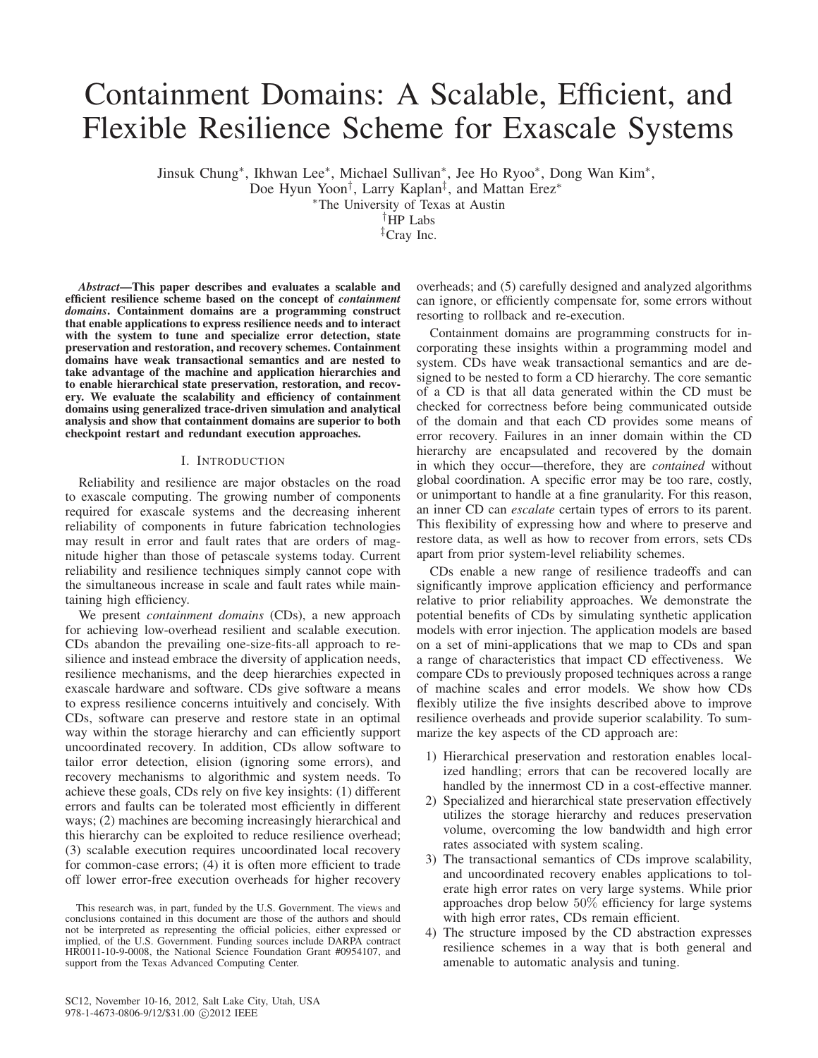# Containment Domains: A Scalable, Efficient, and Flexible Resilience Scheme for Exascale Systems

Jinsuk Chung∗, Ikhwan Lee∗, Michael Sullivan∗, Jee Ho Ryoo∗, Dong Wan Kim∗,

Doe Hyun Yoon<sup>†</sup>, Larry Kaplan<sup>‡</sup>, and Mattan Erez<sup>∗</sup>

∗The University of Texas at Austin

†HP Labs

‡Cray Inc.

*Abstract*—This paper describes and evaluates a scalable and efficient resilience scheme based on the concept of *containment domains*. Containment domains are a programming construct that enable applications to express resilience needs and to interact with the system to tune and specialize error detection, state preservation and restoration, and recovery schemes. Containment domains have weak transactional semantics and are nested to take advantage of the machine and application hierarchies and to enable hierarchical state preservation, restoration, and recovery. We evaluate the scalability and efficiency of containment domains using generalized trace-driven simulation and analytical analysis and show that containment domains are superior to both checkpoint restart and redundant execution approaches.

#### I. INTRODUCTION

Reliability and resilience are major obstacles on the road to exascale computing. The growing number of components required for exascale systems and the decreasing inherent reliability of components in future fabrication technologies may result in error and fault rates that are orders of magnitude higher than those of petascale systems today. Current reliability and resilience techniques simply cannot cope with the simultaneous increase in scale and fault rates while maintaining high efficiency.

We present *containment domains* (CDs), a new approach for achieving low-overhead resilient and scalable execution. CDs abandon the prevailing one-size-fits-all approach to resilience and instead embrace the diversity of application needs, resilience mechanisms, and the deep hierarchies expected in exascale hardware and software. CDs give software a means to express resilience concerns intuitively and concisely. With CDs, software can preserve and restore state in an optimal way within the storage hierarchy and can efficiently support uncoordinated recovery. In addition, CDs allow software to tailor error detection, elision (ignoring some errors), and recovery mechanisms to algorithmic and system needs. To achieve these goals, CDs rely on five key insights: (1) different errors and faults can be tolerated most efficiently in different ways; (2) machines are becoming increasingly hierarchical and this hierarchy can be exploited to reduce resilience overhead; (3) scalable execution requires uncoordinated local recovery for common-case errors; (4) it is often more efficient to trade off lower error-free execution overheads for higher recovery

overheads; and (5) carefully designed and analyzed algorithms can ignore, or efficiently compensate for, some errors without resorting to rollback and re-execution.

Containment domains are programming constructs for incorporating these insights within a programming model and system. CDs have weak transactional semantics and are designed to be nested to form a CD hierarchy. The core semantic of a CD is that all data generated within the CD must be checked for correctness before being communicated outside of the domain and that each CD provides some means of error recovery. Failures in an inner domain within the CD hierarchy are encapsulated and recovered by the domain in which they occur—therefore, they are *contained* without global coordination. A specific error may be too rare, costly, or unimportant to handle at a fine granularity. For this reason, an inner CD can *escalate* certain types of errors to its parent. This flexibility of expressing how and where to preserve and restore data, as well as how to recover from errors, sets CDs apart from prior system-level reliability schemes.

CDs enable a new range of resilience tradeoffs and can significantly improve application efficiency and performance relative to prior reliability approaches. We demonstrate the potential benefits of CDs by simulating synthetic application models with error injection. The application models are based on a set of mini-applications that we map to CDs and span a range of characteristics that impact CD effectiveness. We compare CDs to previously proposed techniques across a range of machine scales and error models. We show how CDs flexibly utilize the five insights described above to improve resilience overheads and provide superior scalability. To summarize the key aspects of the CD approach are:

- 1) Hierarchical preservation and restoration enables localized handling; errors that can be recovered locally are handled by the innermost CD in a cost-effective manner.
- 2) Specialized and hierarchical state preservation effectively utilizes the storage hierarchy and reduces preservation volume, overcoming the low bandwidth and high error rates associated with system scaling.
- 3) The transactional semantics of CDs improve scalability, and uncoordinated recovery enables applications to tolerate high error rates on very large systems. While prior approaches drop below 50% efficiency for large systems with high error rates, CDs remain efficient.
- 4) The structure imposed by the CD abstraction expresses resilience schemes in a way that is both general and amenable to automatic analysis and tuning.

This research was, in part, funded by the U.S. Government. The views and conclusions contained in this document are those of the authors and should not be interpreted as representing the official policies, either expressed or implied, of the U.S. Government. Funding sources include DARPA contract HR0011-10-9-0008, the National Science Foundation Grant #0954107, and support from the Texas Advanced Computing Center.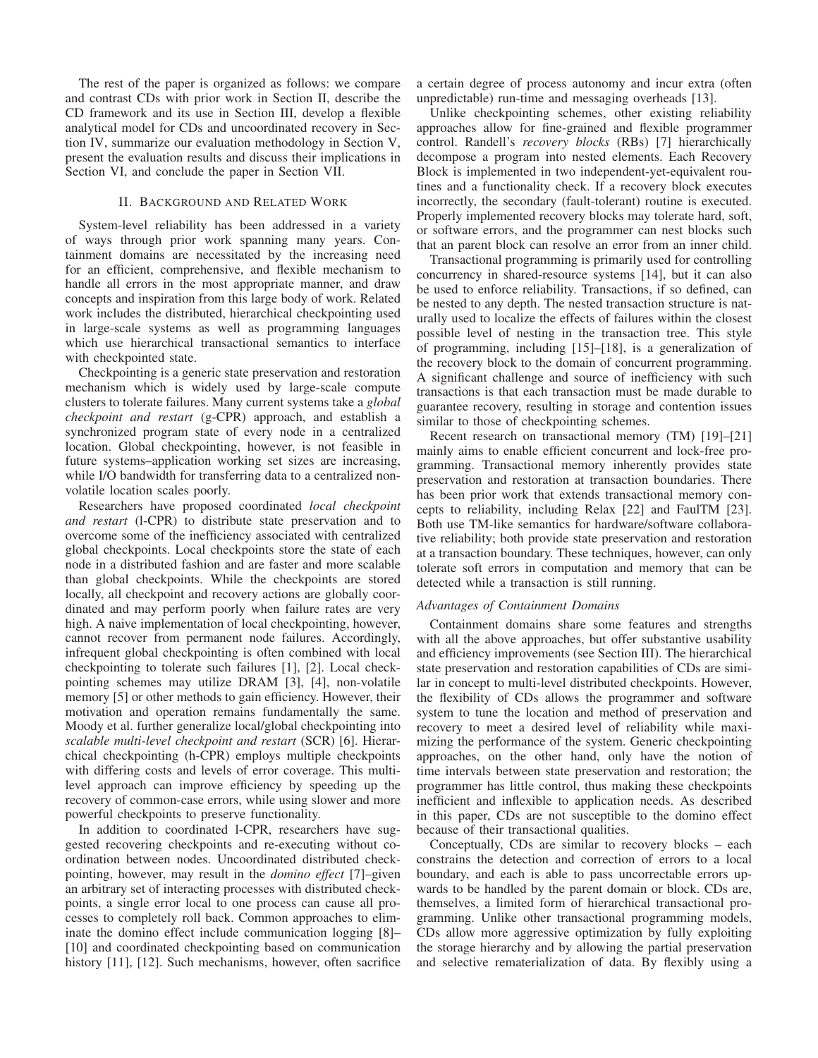The rest of the paper is organized as follows: we compare and contrast CDs with prior work in Section II, describe the CD framework and its use in Section III, develop a flexible analytical model for CDs and uncoordinated recovery in Section IV, summarize our evaluation methodology in Section V, present the evaluation results and discuss their implications in Section VI, and conclude the paper in Section VII.

## II. BACKGROUND AND RELATED WORK

System-level reliability has been addressed in a variety of ways through prior work spanning many years. Containment domains are necessitated by the increasing need for an efficient, comprehensive, and flexible mechanism to handle all errors in the most appropriate manner, and draw concepts and inspiration from this large body of work. Related work includes the distributed, hierarchical checkpointing used in large-scale systems as well as programming languages which use hierarchical transactional semantics to interface with checkpointed state.

Checkpointing is a generic state preservation and restoration mechanism which is widely used by large-scale compute clusters to tolerate failures. Many current systems take a *global checkpoint and restart* (g-CPR) approach, and establish a synchronized program state of every node in a centralized location. Global checkpointing, however, is not feasible in future systems–application working set sizes are increasing, while I/O bandwidth for transferring data to a centralized nonvolatile location scales poorly.

Researchers have proposed coordinated *local checkpoint and restart* (l-CPR) to distribute state preservation and to overcome some of the inefficiency associated with centralized global checkpoints. Local checkpoints store the state of each node in a distributed fashion and are faster and more scalable than global checkpoints. While the checkpoints are stored locally, all checkpoint and recovery actions are globally coordinated and may perform poorly when failure rates are very high. A naive implementation of local checkpointing, however, cannot recover from permanent node failures. Accordingly, infrequent global checkpointing is often combined with local checkpointing to tolerate such failures [1], [2]. Local checkpointing schemes may utilize DRAM [3], [4], non-volatile memory [5] or other methods to gain efficiency. However, their motivation and operation remains fundamentally the same. Moody et al. further generalize local/global checkpointing into *scalable multi-level checkpoint and restart* (SCR) [6]. Hierarchical checkpointing (h-CPR) employs multiple checkpoints with differing costs and levels of error coverage. This multilevel approach can improve efficiency by speeding up the recovery of common-case errors, while using slower and more powerful checkpoints to preserve functionality.

In addition to coordinated l-CPR, researchers have suggested recovering checkpoints and re-executing without coordination between nodes. Uncoordinated distributed checkpointing, however, may result in the *domino effect* [7]–given an arbitrary set of interacting processes with distributed checkpoints, a single error local to one process can cause all processes to completely roll back. Common approaches to eliminate the domino effect include communication logging [8]– [10] and coordinated checkpointing based on communication history [11], [12]. Such mechanisms, however, often sacrifice

a certain degree of process autonomy and incur extra (often unpredictable) run-time and messaging overheads [13].

Unlike checkpointing schemes, other existing reliability approaches allow for fine-grained and flexible programmer control. Randell's *recovery blocks* (RBs) [7] hierarchically decompose a program into nested elements. Each Recovery Block is implemented in two independent-yet-equivalent routines and a functionality check. If a recovery block executes incorrectly, the secondary (fault-tolerant) routine is executed. Properly implemented recovery blocks may tolerate hard, soft, or software errors, and the programmer can nest blocks such that an parent block can resolve an error from an inner child.

Transactional programming is primarily used for controlling concurrency in shared-resource systems [14], but it can also be used to enforce reliability. Transactions, if so defined, can be nested to any depth. The nested transaction structure is naturally used to localize the effects of failures within the closest possible level of nesting in the transaction tree. This style of programming, including [15]–[18], is a generalization of the recovery block to the domain of concurrent programming. A significant challenge and source of inefficiency with such transactions is that each transaction must be made durable to guarantee recovery, resulting in storage and contention issues similar to those of checkpointing schemes.

Recent research on transactional memory (TM) [19]–[21] mainly aims to enable efficient concurrent and lock-free programming. Transactional memory inherently provides state preservation and restoration at transaction boundaries. There has been prior work that extends transactional memory concepts to reliability, including Relax [22] and FaulTM [23]. Both use TM-like semantics for hardware/software collaborative reliability; both provide state preservation and restoration at a transaction boundary. These techniques, however, can only tolerate soft errors in computation and memory that can be detected while a transaction is still running.

#### *Advantages of Containment Domains*

Containment domains share some features and strengths with all the above approaches, but offer substantive usability and efficiency improvements (see Section III). The hierarchical state preservation and restoration capabilities of CDs are similar in concept to multi-level distributed checkpoints. However, the flexibility of CDs allows the programmer and software system to tune the location and method of preservation and recovery to meet a desired level of reliability while maximizing the performance of the system. Generic checkpointing approaches, on the other hand, only have the notion of time intervals between state preservation and restoration; the programmer has little control, thus making these checkpoints inefficient and inflexible to application needs. As described in this paper, CDs are not susceptible to the domino effect because of their transactional qualities.

Conceptually, CDs are similar to recovery blocks – each constrains the detection and correction of errors to a local boundary, and each is able to pass uncorrectable errors upwards to be handled by the parent domain or block. CDs are, themselves, a limited form of hierarchical transactional programming. Unlike other transactional programming models, CDs allow more aggressive optimization by fully exploiting the storage hierarchy and by allowing the partial preservation and selective rematerialization of data. By flexibly using a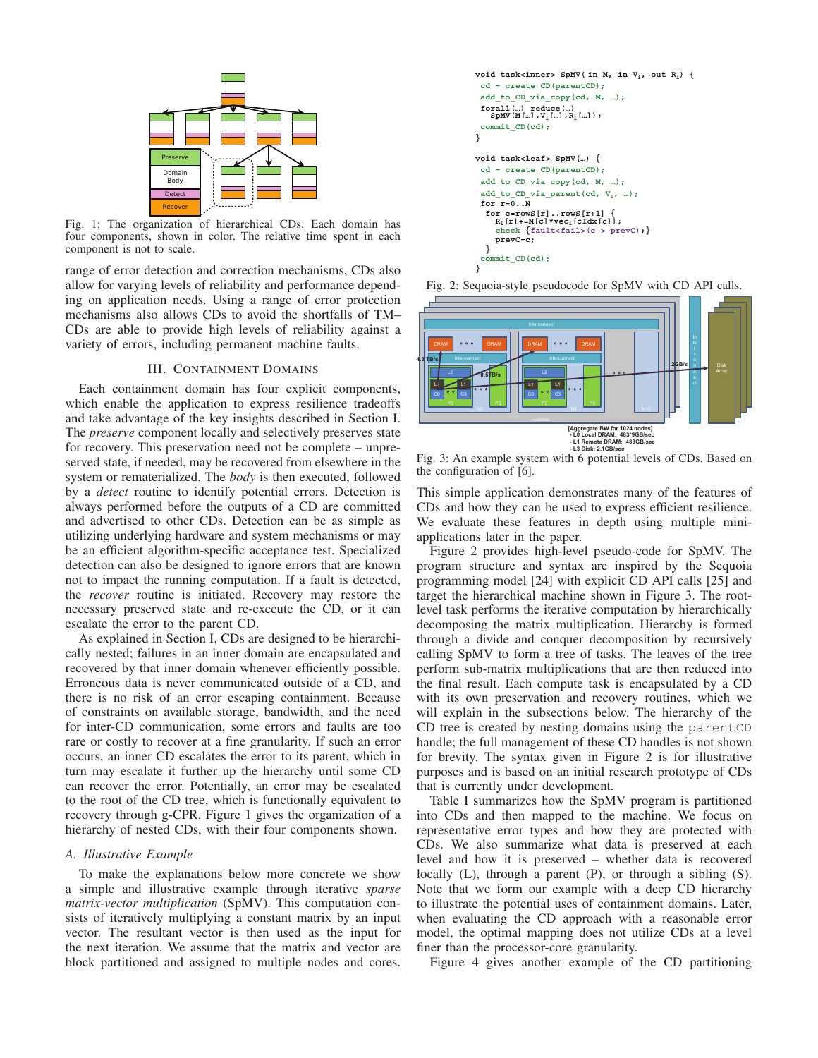

Fig. 1: The organization of hierarchical CDs. Each domain has four components, shown in color. The relative time spent in each component is not to scale.

range of error detection and correction mechanisms, CDs also allow for varying levels of reliability and performance depending on application needs. Using a range of error protection mechanisms also allows CDs to avoid the shortfalls of TM– CDs are able to provide high levels of reliability against a variety of errors, including permanent machine faults.

#### III. CONTAINMENT DOMAINS

Each containment domain has four explicit components, which enable the application to express resilience tradeoffs and take advantage of the key insights described in Section I. The *preserve* component locally and selectively preserves state for recovery. This preservation need not be complete – unpreserved state, if needed, may be recovered from elsewhere in the system or rematerialized. The *body* is then executed, followed by a *detect* routine to identify potential errors. Detection is always performed before the outputs of a CD are committed and advertised to other CDs. Detection can be as simple as utilizing underlying hardware and system mechanisms or may be an efficient algorithm-specific acceptance test. Specialized detection can also be designed to ignore errors that are known not to impact the running computation. If a fault is detected, the *recover* routine is initiated. Recovery may restore the necessary preserved state and re-execute the CD, or it can escalate the error to the parent CD.

As explained in Section I, CDs are designed to be hierarchically nested; failures in an inner domain are encapsulated and recovered by that inner domain whenever efficiently possible. Erroneous data is never communicated outside of a CD, and there is no risk of an error escaping containment. Because of constraints on available storage, bandwidth, and the need for inter-CD communication, some errors and faults are too rare or costly to recover at a fine granularity. If such an error occurs, an inner CD escalates the error to its parent, which in turn may escalate it further up the hierarchy until some CD can recover the error. Potentially, an error may be escalated to the root of the CD tree, which is functionally equivalent to recovery through g-CPR. Figure 1 gives the organization of a hierarchy of nested CDs, with their four components shown.

## *A. Illustrative Example*

To make the explanations below more concrete we show a simple and illustrative example through iterative *sparse matrix-vector multiplication* (SpMV). This computation consists of iteratively multiplying a constant matrix by an input vector. The resultant vector is then used as the input for the next iteration. We assume that the matrix and vector are block partitioned and assigned to multiple nodes and cores.

```
void task<inner> SpMV( in M, in V_i, out R_i) {
 cd = create_CD(parentCD);
 add_to_CD_via_copy(cd, M, …);
 forall(…) reduce(…)
SpMV(M[…],Vi[…],Ri[…]);
 commit_CD(cd);
}
void task<leaf> SpMV(…) {
 cd = create_CD(parentCD);
 add_to_CD_via_copy(cd, M, …);
 add_to_CD_via_parent(cd, V<sub>i</sub>, ...);
 for r=0..Nfor c=rowS[r]..rowS[r+1] \left\{ R_i[r]+=M[c]*vec_i[cldx[c]] \right\}check {fault<fail>(c > prevC);}
    prevC=c;
   }
 commit CD(cd);
}
```
Fig. 2: Sequoia-style pseudocode for SpMV with CD API calls.



Fig. 3: An example system with 6 potential levels of CDs. Based on the configuration of [6].

This simple application demonstrates many of the features of CDs and how they can be used to express efficient resilience. We evaluate these features in depth using multiple miniapplications later in the paper.

Figure 2 provides high-level pseudo-code for SpMV. The program structure and syntax are inspired by the Sequoia programming model [24] with explicit CD API calls [25] and target the hierarchical machine shown in Figure 3. The rootlevel task performs the iterative computation by hierarchically decomposing the matrix multiplication. Hierarchy is formed through a divide and conquer decomposition by recursively calling SpMV to form a tree of tasks. The leaves of the tree perform sub-matrix multiplications that are then reduced into the final result. Each compute task is encapsulated by a CD with its own preservation and recovery routines, which we will explain in the subsections below. The hierarchy of the CD tree is created by nesting domains using the parentCD handle; the full management of these CD handles is not shown for brevity. The syntax given in Figure 2 is for illustrative purposes and is based on an initial research prototype of CDs that is currently under development.

Table I summarizes how the SpMV program is partitioned into CDs and then mapped to the machine. We focus on representative error types and how they are protected with CDs. We also summarize what data is preserved at each level and how it is preserved – whether data is recovered locally (L), through a parent (P), or through a sibling (S). Note that we form our example with a deep CD hierarchy to illustrate the potential uses of containment domains. Later, when evaluating the CD approach with a reasonable error model, the optimal mapping does not utilize CDs at a level finer than the processor-core granularity.

Figure 4 gives another example of the CD partitioning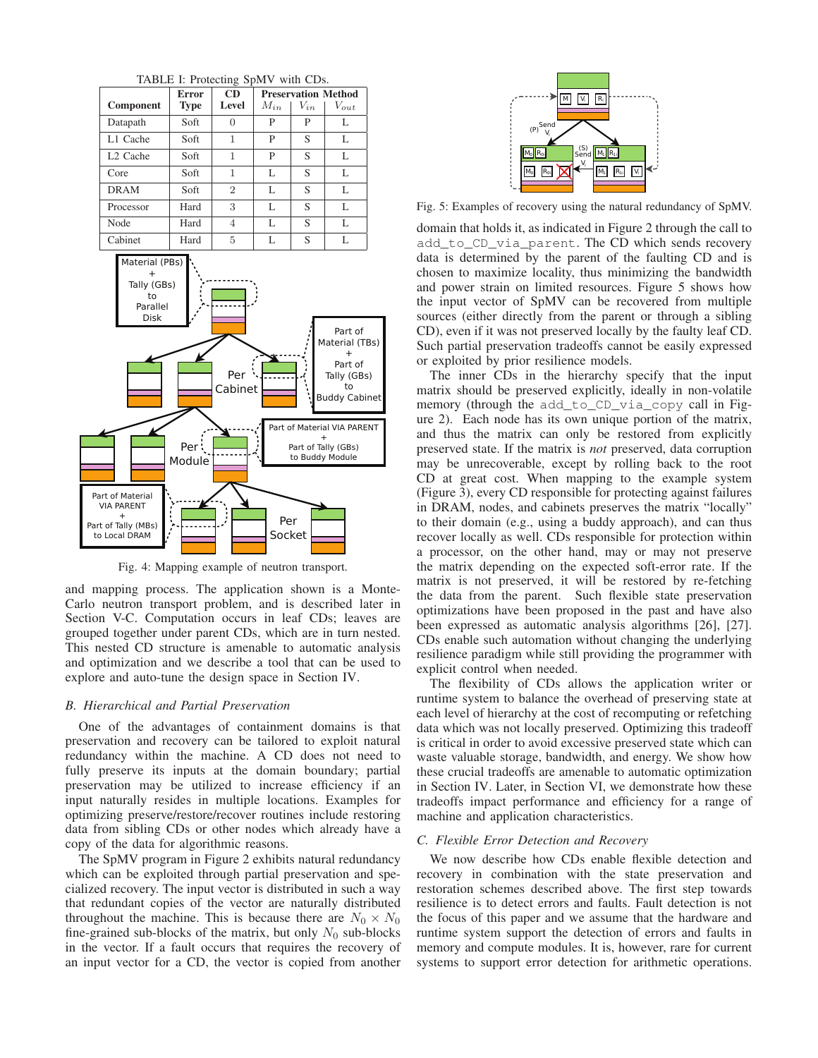|                      | Error       | CD             | <b>Preservation Method</b> |          |           |  |
|----------------------|-------------|----------------|----------------------------|----------|-----------|--|
| Component            | <b>Type</b> | Level          | $M_{in}$                   | $V_{in}$ | $V_{out}$ |  |
| Datapath             | Soft        | $\Omega$       | P                          | P        | L         |  |
| L1 Cache             | Soft        | 1              | P                          | S        | L         |  |
| L <sub>2</sub> Cache | Soft        | 1              | P                          | S        | L         |  |
| Core                 | Soft        | 1              | L                          | S        | L         |  |
| DRAM                 | Soft        | $\overline{2}$ | L                          | S        | L         |  |
| Processor            | Hard        | 3              | L                          | S        | L         |  |
| Node                 | Hard        | $\overline{4}$ | L                          | S        | L         |  |
| Cabinet              | Hard        | 5              | L                          | S        | L         |  |

TABLE I: Protecting SpMV with CDs.



Fig. 4: Mapping example of neutron transport.

and mapping process. The application shown is a Monte-Carlo neutron transport problem, and is described later in Section V-C. Computation occurs in leaf CDs; leaves are grouped together under parent CDs, which are in turn nested. This nested CD structure is amenable to automatic analysis and optimization and we describe a tool that can be used to explore and auto-tune the design space in Section IV.

## *B. Hierarchical and Partial Preservation*

One of the advantages of containment domains is that preservation and recovery can be tailored to exploit natural redundancy within the machine. A CD does not need to fully preserve its inputs at the domain boundary; partial preservation may be utilized to increase efficiency if an input naturally resides in multiple locations. Examples for optimizing preserve/restore/recover routines include restoring data from sibling CDs or other nodes which already have a copy of the data for algorithmic reasons.

The SpMV program in Figure 2 exhibits natural redundancy which can be exploited through partial preservation and specialized recovery. The input vector is distributed in such a way that redundant copies of the vector are naturally distributed throughout the machine. This is because there are  $N_0 \times N_0$ fine-grained sub-blocks of the matrix, but only  $N_0$  sub-blocks in the vector. If a fault occurs that requires the recovery of an input vector for a CD, the vector is copied from another



Fig. 5: Examples of recovery using the natural redundancy of SpMV.

domain that holds it, as indicated in Figure 2 through the call to add to CD via parent. The CD which sends recovery data is determined by the parent of the faulting CD and is chosen to maximize locality, thus minimizing the bandwidth and power strain on limited resources. Figure 5 shows how the input vector of SpMV can be recovered from multiple sources (either directly from the parent or through a sibling CD), even if it was not preserved locally by the faulty leaf CD. Such partial preservation tradeoffs cannot be easily expressed or exploited by prior resilience models.

The inner CDs in the hierarchy specify that the input matrix should be preserved explicitly, ideally in non-volatile memory (through the add\_to\_CD\_via\_copy call in Figure 2). Each node has its own unique portion of the matrix, and thus the matrix can only be restored from explicitly preserved state. If the matrix is *not* preserved, data corruption may be unrecoverable, except by rolling back to the root CD at great cost. When mapping to the example system (Figure 3), every CD responsible for protecting against failures in DRAM, nodes, and cabinets preserves the matrix "locally" to their domain (e.g., using a buddy approach), and can thus recover locally as well. CDs responsible for protection within a processor, on the other hand, may or may not preserve the matrix depending on the expected soft-error rate. If the matrix is not preserved, it will be restored by re-fetching the data from the parent. Such flexible state preservation optimizations have been proposed in the past and have also been expressed as automatic analysis algorithms [26], [27]. CDs enable such automation without changing the underlying resilience paradigm while still providing the programmer with explicit control when needed.

The flexibility of CDs allows the application writer or runtime system to balance the overhead of preserving state at each level of hierarchy at the cost of recomputing or refetching data which was not locally preserved. Optimizing this tradeoff is critical in order to avoid excessive preserved state which can waste valuable storage, bandwidth, and energy. We show how these crucial tradeoffs are amenable to automatic optimization in Section IV. Later, in Section VI, we demonstrate how these tradeoffs impact performance and efficiency for a range of machine and application characteristics.

## *C. Flexible Error Detection and Recovery*

We now describe how CDs enable flexible detection and recovery in combination with the state preservation and restoration schemes described above. The first step towards resilience is to detect errors and faults. Fault detection is not the focus of this paper and we assume that the hardware and runtime system support the detection of errors and faults in memory and compute modules. It is, however, rare for current systems to support error detection for arithmetic operations.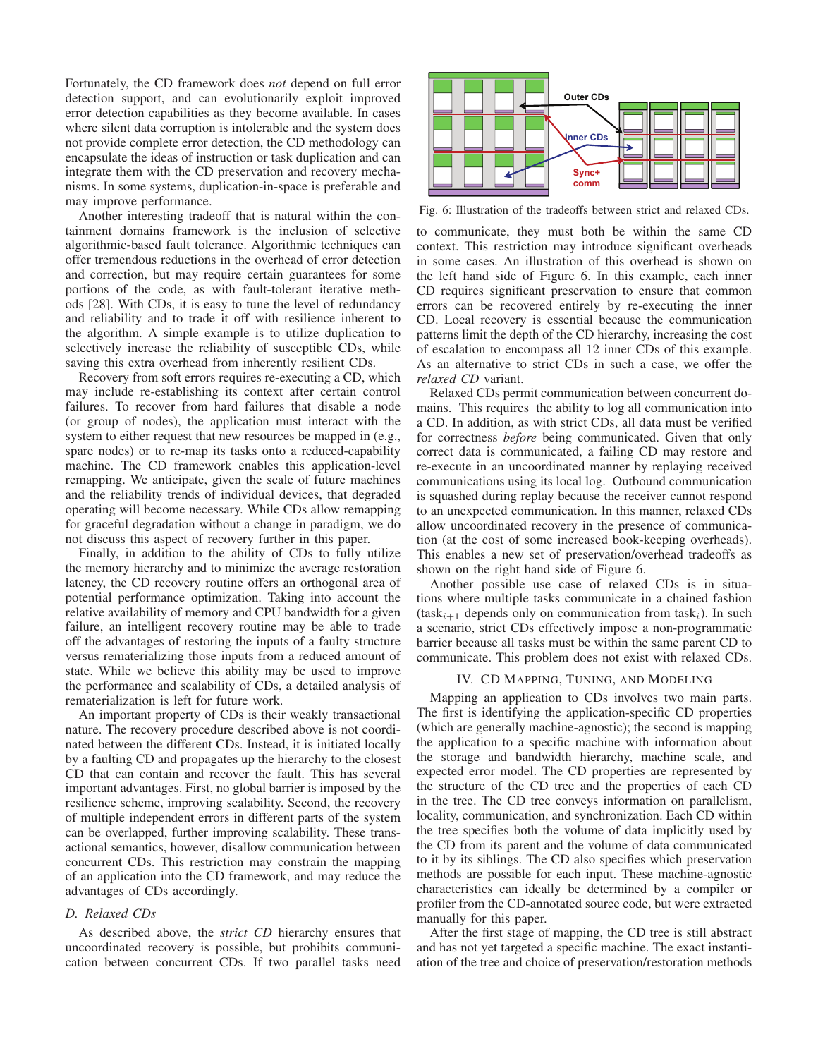Fortunately, the CD framework does *not* depend on full error detection support, and can evolutionarily exploit improved error detection capabilities as they become available. In cases where silent data corruption is intolerable and the system does not provide complete error detection, the CD methodology can encapsulate the ideas of instruction or task duplication and can integrate them with the CD preservation and recovery mechanisms. In some systems, duplication-in-space is preferable and may improve performance.

Another interesting tradeoff that is natural within the containment domains framework is the inclusion of selective algorithmic-based fault tolerance. Algorithmic techniques can offer tremendous reductions in the overhead of error detection and correction, but may require certain guarantees for some portions of the code, as with fault-tolerant iterative methods [28]. With CDs, it is easy to tune the level of redundancy and reliability and to trade it off with resilience inherent to the algorithm. A simple example is to utilize duplication to selectively increase the reliability of susceptible CDs, while saving this extra overhead from inherently resilient CDs.

Recovery from soft errors requires re-executing a CD, which may include re-establishing its context after certain control failures. To recover from hard failures that disable a node (or group of nodes), the application must interact with the system to either request that new resources be mapped in (e.g., spare nodes) or to re-map its tasks onto a reduced-capability machine. The CD framework enables this application-level remapping. We anticipate, given the scale of future machines and the reliability trends of individual devices, that degraded operating will become necessary. While CDs allow remapping for graceful degradation without a change in paradigm, we do not discuss this aspect of recovery further in this paper.

Finally, in addition to the ability of CDs to fully utilize the memory hierarchy and to minimize the average restoration latency, the CD recovery routine offers an orthogonal area of potential performance optimization. Taking into account the relative availability of memory and CPU bandwidth for a given failure, an intelligent recovery routine may be able to trade off the advantages of restoring the inputs of a faulty structure versus rematerializing those inputs from a reduced amount of state. While we believe this ability may be used to improve the performance and scalability of CDs, a detailed analysis of rematerialization is left for future work.

An important property of CDs is their weakly transactional nature. The recovery procedure described above is not coordinated between the different CDs. Instead, it is initiated locally by a faulting CD and propagates up the hierarchy to the closest CD that can contain and recover the fault. This has several important advantages. First, no global barrier is imposed by the resilience scheme, improving scalability. Second, the recovery of multiple independent errors in different parts of the system can be overlapped, further improving scalability. These transactional semantics, however, disallow communication between concurrent CDs. This restriction may constrain the mapping of an application into the CD framework, and may reduce the advantages of CDs accordingly.

#### *D. Relaxed CDs*

As described above, the *strict CD* hierarchy ensures that uncoordinated recovery is possible, but prohibits communication between concurrent CDs. If two parallel tasks need



Fig. 6: Illustration of the tradeoffs between strict and relaxed CDs.

to communicate, they must both be within the same CD context. This restriction may introduce significant overheads in some cases. An illustration of this overhead is shown on the left hand side of Figure 6. In this example, each inner CD requires significant preservation to ensure that common errors can be recovered entirely by re-executing the inner CD. Local recovery is essential because the communication patterns limit the depth of the CD hierarchy, increasing the cost of escalation to encompass all 12 inner CDs of this example. As an alternative to strict CDs in such a case, we offer the *relaxed CD* variant.

Relaxed CDs permit communication between concurrent domains. This requires the ability to log all communication into a CD. In addition, as with strict CDs, all data must be verified for correctness *before* being communicated. Given that only correct data is communicated, a failing CD may restore and re-execute in an uncoordinated manner by replaying received communications using its local log. Outbound communication is squashed during replay because the receiver cannot respond to an unexpected communication. In this manner, relaxed CDs allow uncoordinated recovery in the presence of communication (at the cost of some increased book-keeping overheads). This enables a new set of preservation/overhead tradeoffs as shown on the right hand side of Figure 6.

Another possible use case of relaxed CDs is in situations where multiple tasks communicate in a chained fashion  $(task<sub>i+1</sub>$  depends only on communication from task<sub>i</sub>). In such a scenario, strict CDs effectively impose a non-programmatic barrier because all tasks must be within the same parent CD to communicate. This problem does not exist with relaxed CDs.

#### IV. CD MAPPING, TUNING, AND MODELING

Mapping an application to CDs involves two main parts. The first is identifying the application-specific CD properties (which are generally machine-agnostic); the second is mapping the application to a specific machine with information about the storage and bandwidth hierarchy, machine scale, and expected error model. The CD properties are represented by the structure of the CD tree and the properties of each CD in the tree. The CD tree conveys information on parallelism, locality, communication, and synchronization. Each CD within the tree specifies both the volume of data implicitly used by the CD from its parent and the volume of data communicated to it by its siblings. The CD also specifies which preservation methods are possible for each input. These machine-agnostic characteristics can ideally be determined by a compiler or profiler from the CD-annotated source code, but were extracted manually for this paper.

After the first stage of mapping, the CD tree is still abstract and has not yet targeted a specific machine. The exact instantiation of the tree and choice of preservation/restoration methods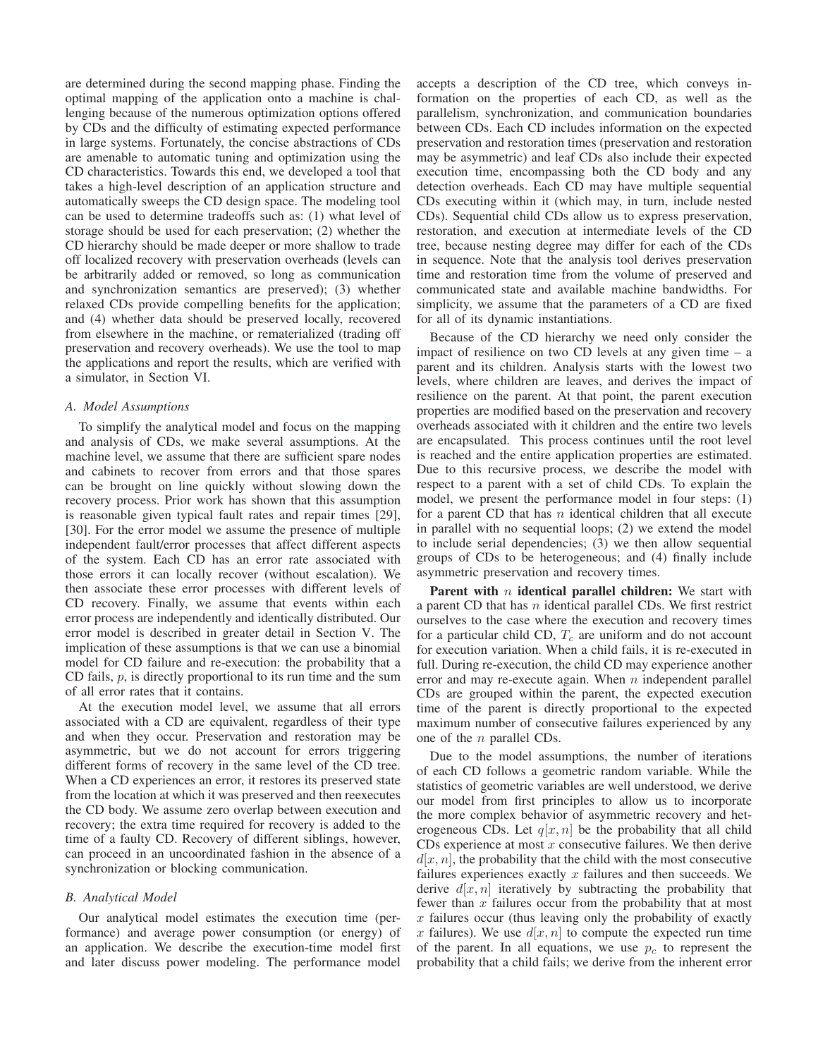are determined during the second mapping phase. Finding the optimal mapping of the application onto a machine is challenging because of the numerous optimization options offered by CDs and the difficulty of estimating expected performance in large systems. Fortunately, the concise abstractions of CDs are amenable to automatic tuning and optimization using the CD characteristics. Towards this end, we developed a tool that takes a high-level description of an application structure and automatically sweeps the CD design space. The modeling tool can be used to determine tradeoffs such as: (1) what level of storage should be used for each preservation; (2) whether the CD hierarchy should be made deeper or more shallow to trade off localized recovery with preservation overheads (levels can be arbitrarily added or removed, so long as communication and synchronization semantics are preserved); (3) whether relaxed CDs provide compelling benefits for the application; and (4) whether data should be preserved locally, recovered from elsewhere in the machine, or rematerialized (trading off preservation and recovery overheads). We use the tool to map the applications and report the results, which are verified with a simulator, in Section VI.

### *A. Model Assumptions*

To simplify the analytical model and focus on the mapping and analysis of CDs, we make several assumptions. At the machine level, we assume that there are sufficient spare nodes and cabinets to recover from errors and that those spares can be brought on line quickly without slowing down the recovery process. Prior work has shown that this assumption is reasonable given typical fault rates and repair times [29], [30]. For the error model we assume the presence of multiple independent fault/error processes that affect different aspects of the system. Each CD has an error rate associated with those errors it can locally recover (without escalation). We then associate these error processes with different levels of CD recovery. Finally, we assume that events within each error process are independently and identically distributed. Our error model is described in greater detail in Section V. The implication of these assumptions is that we can use a binomial model for CD failure and re-execution: the probability that a CD fails,  $p$ , is directly proportional to its run time and the sum of all error rates that it contains.

At the execution model level, we assume that all errors associated with a CD are equivalent, regardless of their type and when they occur. Preservation and restoration may be asymmetric, but we do not account for errors triggering different forms of recovery in the same level of the CD tree. When a CD experiences an error, it restores its preserved state from the location at which it was preserved and then reexecutes the CD body. We assume zero overlap between execution and recovery; the extra time required for recovery is added to the time of a faulty CD. Recovery of different siblings, however, can proceed in an uncoordinated fashion in the absence of a synchronization or blocking communication.

## *B. Analytical Model*

Our analytical model estimates the execution time (performance) and average power consumption (or energy) of an application. We describe the execution-time model first and later discuss power modeling. The performance model accepts a description of the CD tree, which conveys information on the properties of each CD, as well as the parallelism, synchronization, and communication boundaries between CDs. Each CD includes information on the expected preservation and restoration times (preservation and restoration may be asymmetric) and leaf CDs also include their expected execution time, encompassing both the CD body and any detection overheads. Each CD may have multiple sequential CDs executing within it (which may, in turn, include nested CDs). Sequential child CDs allow us to express preservation, restoration, and execution at intermediate levels of the CD tree, because nesting degree may differ for each of the CDs in sequence. Note that the analysis tool derives preservation time and restoration time from the volume of preserved and communicated state and available machine bandwidths. For simplicity, we assume that the parameters of a CD are fixed for all of its dynamic instantiations.

Because of the CD hierarchy we need only consider the impact of resilience on two CD levels at any given time – a parent and its children. Analysis starts with the lowest two levels, where children are leaves, and derives the impact of resilience on the parent. At that point, the parent execution properties are modified based on the preservation and recovery overheads associated with it children and the entire two levels are encapsulated. This process continues until the root level is reached and the entire application properties are estimated. Due to this recursive process, we describe the model with respect to a parent with a set of child CDs. To explain the model, we present the performance model in four steps: (1) for a parent CD that has  $n$  identical children that all execute in parallel with no sequential loops; (2) we extend the model to include serial dependencies; (3) we then allow sequential groups of CDs to be heterogeneous; and (4) finally include asymmetric preservation and recovery times.

Parent with  $n$  identical parallel children: We start with a parent CD that has  $n$  identical parallel CDs. We first restrict ourselves to the case where the execution and recovery times for a particular child CD,  $T_c$  are uniform and do not account for execution variation. When a child fails, it is re-executed in full. During re-execution, the child CD may experience another error and may re-execute again. When  $n$  independent parallel CDs are grouped within the parent, the expected execution time of the parent is directly proportional to the expected maximum number of consecutive failures experienced by any one of the n parallel CDs.

Due to the model assumptions, the number of iterations of each CD follows a geometric random variable. While the statistics of geometric variables are well understood, we derive our model from first principles to allow us to incorporate the more complex behavior of asymmetric recovery and heterogeneous CDs. Let  $q[x, n]$  be the probability that all child CDs experience at most  $x$  consecutive failures. We then derive  $d[x, n]$ , the probability that the child with the most consecutive failures experiences exactly  $x$  failures and then succeeds. We derive  $d[x, n]$  iteratively by subtracting the probability that fewer than  $x$  failures occur from the probability that at most  $x$  failures occur (thus leaving only the probability of exactly x failures). We use  $d[x, n]$  to compute the expected run time of the parent. In all equations, we use  $p_c$  to represent the probability that a child fails; we derive from the inherent error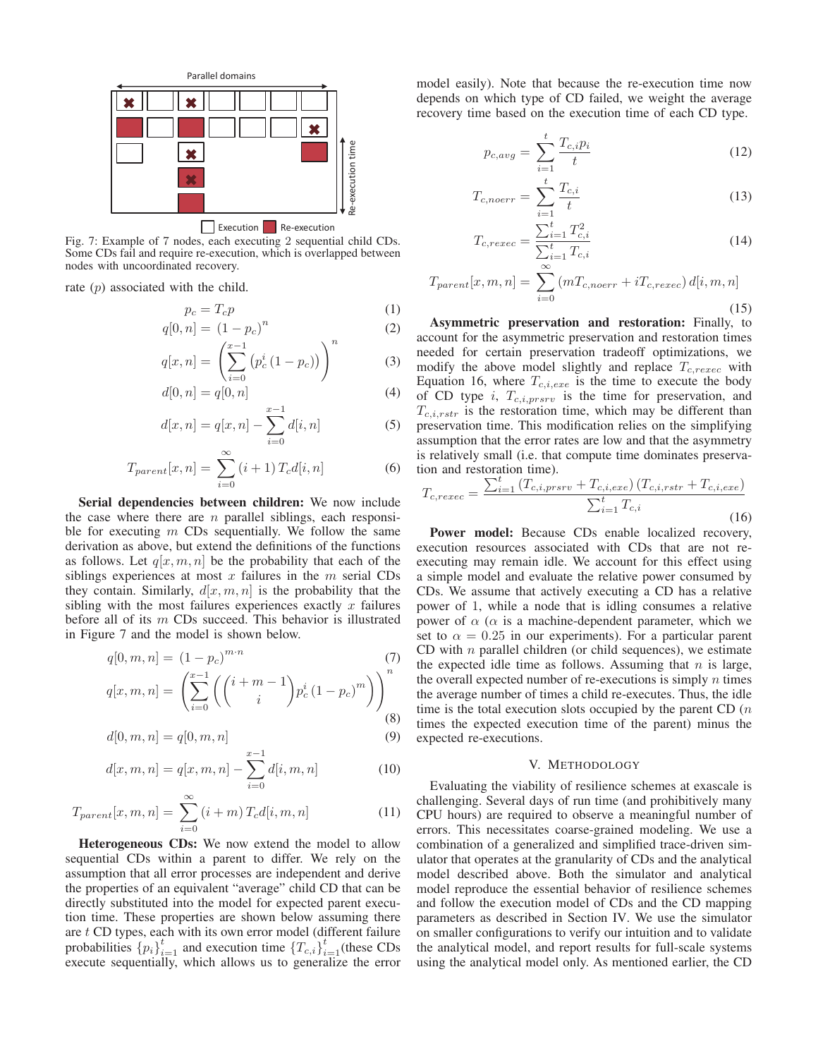

Fig. 7: Example of 7 nodes, each executing 2 sequential child CDs. Some CDs fail and require re-execution, which is overlapped between nodes with uncoordinated recovery.

rate (p) associated with the child.

$$
p_c = T_c p \tag{1}
$$

$$
q[0, n] = (1 - p_c)^n
$$
 (2)

$$
q[x,n] = \left(\sum_{i=0}^{x-1} (p_c^i (1-p_c))\right)^n \tag{3}
$$

$$
d[0, n] = q[0, n] \tag{4}
$$

$$
d[x, n] = q[x, n] - \sum_{i=0}^{x-1} d[i, n]
$$
 (5)

$$
T_{parent}[x,n] = \sum_{i=0}^{\infty} (i+1) T_c d[i,n]
$$
 (6)

Serial dependencies between children: We now include the case where there are  $n$  parallel siblings, each responsible for executing  $m$  CDs sequentially. We follow the same derivation as above, but extend the definitions of the functions as follows. Let  $q[x, m, n]$  be the probability that each of the siblings experiences at most  $x$  failures in the  $m$  serial CDs they contain. Similarly,  $d[x, m, n]$  is the probability that the sibling with the most failures experiences exactly  $x$  failures before all of its  $m$  CDs succeed. This behavior is illustrated in Figure 7 and the model is shown below.

$$
q[0, m, n] = (1 - p_c)^{m \cdot n}
$$
\n
$$
q[x, m, n] = \left(\sum_{i=0}^{x-1} \left(\binom{i+m-1}{i} p_c^i (1 - p_c)^m\right)\right)^n
$$
\n(8)

$$
d[0, m, n] = q[0, m, n]
$$
\n(9)

$$
d[x, m, n] = q[x, m, n] - \sum_{i=0}^{x-1} d[i, m, n]
$$
 (10)

$$
T_{parent}[x, m, n] = \sum_{i=0}^{\infty} (i + m) T_c d[i, m, n]
$$
 (11)

**Heterogeneous CDs:** We now extend the model to allow sequential CDs within a parent to differ. We rely on the assumption that all error processes are independent and derive the properties of an equivalent "average" child CD that can be directly substituted into the model for expected parent execution time. These properties are shown below assuming there are  $t$  CD types, each with its own error model (different failure probabilities  ${p_i}_{i=1}^t$  and execution time  ${T_{c,i}}_{i=1}^t$  (these CDs execute sequentially, which allows us to generalize the error execute sequentially, which allows us to generalize the error model easily). Note that because the re-execution time now depends on which type of CD failed, we weight the average recovery time based on the execution time of each CD type.

$$
p_{c,avg} = \sum_{i=1}^{t} \frac{T_{c,i}p_i}{t} \tag{12}
$$

$$
T_{c,noerr} = \sum_{i=1}^{t} \frac{T_{c,i}}{t}
$$
 (13)

$$
T_{c,reeze} = \frac{\sum_{i=1}^{t} T_{c,i}^{2}}{\sum_{i=1}^{t} T_{c,i}}
$$
(14)

$$
T_{parent}[x, m, n] = \sum_{i=0}^{\infty} (mT_{c, noerr} + iT_{c, rexec}) d[i, m, n]
$$
\n(15)

Asymmetric preservation and restoration: Finally, to account for the asymmetric preservation and restoration times needed for certain preservation tradeoff optimizations, we modify the above model slightly and replace  $T_{c,rexecc}$  with Equation 16, where  $T_{c,i,exe}$  is the time to execute the body of CD type i,  $T_{c,i,prsrv}$  is the time for preservation, and  $T_{c,i,rstr}$  is the restoration time, which may be different than<br>preservation time. This modification relies on the simplifying preservation time. This modification relies on the simplifying assumption that the error rates are low and that the asymmetry is relatively small (i.e. that compute time dominates preservation and restoration time).

$$
T_{c,reeze} = \frac{\sum_{i=1}^{t} (T_{c,i,prsv} + T_{c,i,exe}) (T_{c,i,rstr} + T_{c,i,exe})}{\sum_{i=1}^{t} T_{c,i}}
$$
(16)

Power model: Because CDs enable localized recovery, execution resources associated with CDs that are not reexecuting may remain idle. We account for this effect using a simple model and evaluate the relative power consumed by CDs. We assume that actively executing a CD has a relative power of 1, while a node that is idling consumes a relative power of  $\alpha$  ( $\alpha$  is a machine-dependent parameter, which we set to  $\alpha = 0.25$  in our experiments). For a particular parent CD with  $n$  parallel children (or child sequences), we estimate the expected idle time as follows. Assuming that  $n$  is large, the overall expected number of re-executions is simply  $n$  times the average number of times a child re-executes. Thus, the idle time is the total execution slots occupied by the parent CD  $(n)$ times the expected execution time of the parent) minus the expected re-executions.

### V. METHODOLOGY

Evaluating the viability of resilience schemes at exascale is challenging. Several days of run time (and prohibitively many CPU hours) are required to observe a meaningful number of errors. This necessitates coarse-grained modeling. We use a combination of a generalized and simplified trace-driven simulator that operates at the granularity of CDs and the analytical model described above. Both the simulator and analytical model reproduce the essential behavior of resilience schemes and follow the execution model of CDs and the CD mapping parameters as described in Section IV. We use the simulator on smaller configurations to verify our intuition and to validate the analytical model, and report results for full-scale systems using the analytical model only. As mentioned earlier, the CD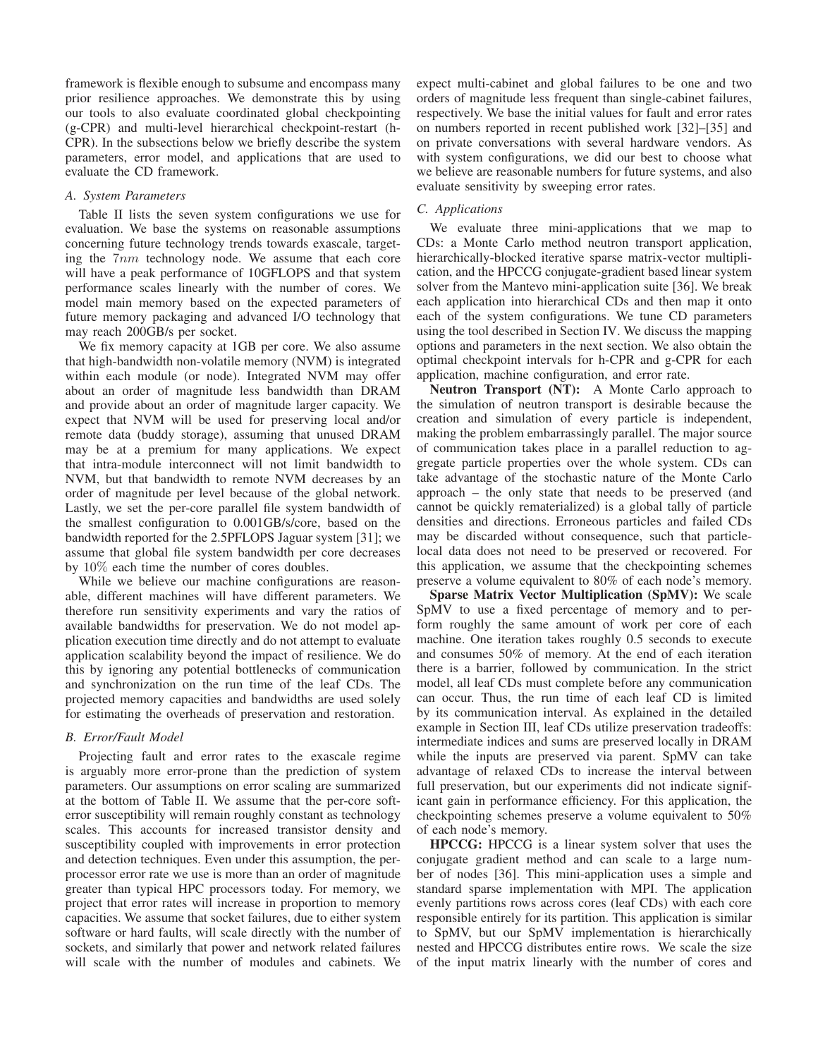framework is flexible enough to subsume and encompass many prior resilience approaches. We demonstrate this by using our tools to also evaluate coordinated global checkpointing (g-CPR) and multi-level hierarchical checkpoint-restart (h-CPR). In the subsections below we briefly describe the system parameters, error model, and applications that are used to evaluate the CD framework.

## *A. System Parameters*

Table II lists the seven system configurations we use for evaluation. We base the systems on reasonable assumptions concerning future technology trends towards exascale, targeting the 7nm technology node. We assume that each core will have a peak performance of 10GFLOPS and that system performance scales linearly with the number of cores. We model main memory based on the expected parameters of future memory packaging and advanced I/O technology that may reach 200GB/s per socket.

We fix memory capacity at 1GB per core. We also assume that high-bandwidth non-volatile memory (NVM) is integrated within each module (or node). Integrated NVM may offer about an order of magnitude less bandwidth than DRAM and provide about an order of magnitude larger capacity. We expect that NVM will be used for preserving local and/or remote data (buddy storage), assuming that unused DRAM may be at a premium for many applications. We expect that intra-module interconnect will not limit bandwidth to NVM, but that bandwidth to remote NVM decreases by an order of magnitude per level because of the global network. Lastly, we set the per-core parallel file system bandwidth of the smallest configuration to 0.001GB/s/core, based on the bandwidth reported for the 2.5PFLOPS Jaguar system [31]; we assume that global file system bandwidth per core decreases by 10% each time the number of cores doubles.

While we believe our machine configurations are reasonable, different machines will have different parameters. We therefore run sensitivity experiments and vary the ratios of available bandwidths for preservation. We do not model application execution time directly and do not attempt to evaluate application scalability beyond the impact of resilience. We do this by ignoring any potential bottlenecks of communication and synchronization on the run time of the leaf CDs. The projected memory capacities and bandwidths are used solely for estimating the overheads of preservation and restoration.

## *B. Error/Fault Model*

Projecting fault and error rates to the exascale regime is arguably more error-prone than the prediction of system parameters. Our assumptions on error scaling are summarized at the bottom of Table II. We assume that the per-core softerror susceptibility will remain roughly constant as technology scales. This accounts for increased transistor density and susceptibility coupled with improvements in error protection and detection techniques. Even under this assumption, the perprocessor error rate we use is more than an order of magnitude greater than typical HPC processors today. For memory, we project that error rates will increase in proportion to memory capacities. We assume that socket failures, due to either system software or hard faults, will scale directly with the number of sockets, and similarly that power and network related failures will scale with the number of modules and cabinets. We

expect multi-cabinet and global failures to be one and two orders of magnitude less frequent than single-cabinet failures, respectively. We base the initial values for fault and error rates on numbers reported in recent published work [32]–[35] and on private conversations with several hardware vendors. As with system configurations, we did our best to choose what we believe are reasonable numbers for future systems, and also evaluate sensitivity by sweeping error rates.

## *C. Applications*

We evaluate three mini-applications that we map to CDs: a Monte Carlo method neutron transport application, hierarchically-blocked iterative sparse matrix-vector multiplication, and the HPCCG conjugate-gradient based linear system solver from the Mantevo mini-application suite [36]. We break each application into hierarchical CDs and then map it onto each of the system configurations. We tune CD parameters using the tool described in Section IV. We discuss the mapping options and parameters in the next section. We also obtain the optimal checkpoint intervals for h-CPR and g-CPR for each application, machine configuration, and error rate.

Neutron Transport (NT): A Monte Carlo approach to the simulation of neutron transport is desirable because the creation and simulation of every particle is independent, making the problem embarrassingly parallel. The major source of communication takes place in a parallel reduction to aggregate particle properties over the whole system. CDs can take advantage of the stochastic nature of the Monte Carlo approach – the only state that needs to be preserved (and cannot be quickly rematerialized) is a global tally of particle densities and directions. Erroneous particles and failed CDs may be discarded without consequence, such that particlelocal data does not need to be preserved or recovered. For this application, we assume that the checkpointing schemes preserve a volume equivalent to 80% of each node's memory.

Sparse Matrix Vector Multiplication (SpMV): We scale SpMV to use a fixed percentage of memory and to perform roughly the same amount of work per core of each machine. One iteration takes roughly 0.5 seconds to execute and consumes 50% of memory. At the end of each iteration there is a barrier, followed by communication. In the strict model, all leaf CDs must complete before any communication can occur. Thus, the run time of each leaf CD is limited by its communication interval. As explained in the detailed example in Section III, leaf CDs utilize preservation tradeoffs: intermediate indices and sums are preserved locally in DRAM while the inputs are preserved via parent. SpMV can take advantage of relaxed CDs to increase the interval between full preservation, but our experiments did not indicate significant gain in performance efficiency. For this application, the checkpointing schemes preserve a volume equivalent to 50% of each node's memory.

HPCCG: HPCCG is a linear system solver that uses the conjugate gradient method and can scale to a large number of nodes [36]. This mini-application uses a simple and standard sparse implementation with MPI. The application evenly partitions rows across cores (leaf CDs) with each core responsible entirely for its partition. This application is similar to SpMV, but our SpMV implementation is hierarchically nested and HPCCG distributes entire rows. We scale the size of the input matrix linearly with the number of cores and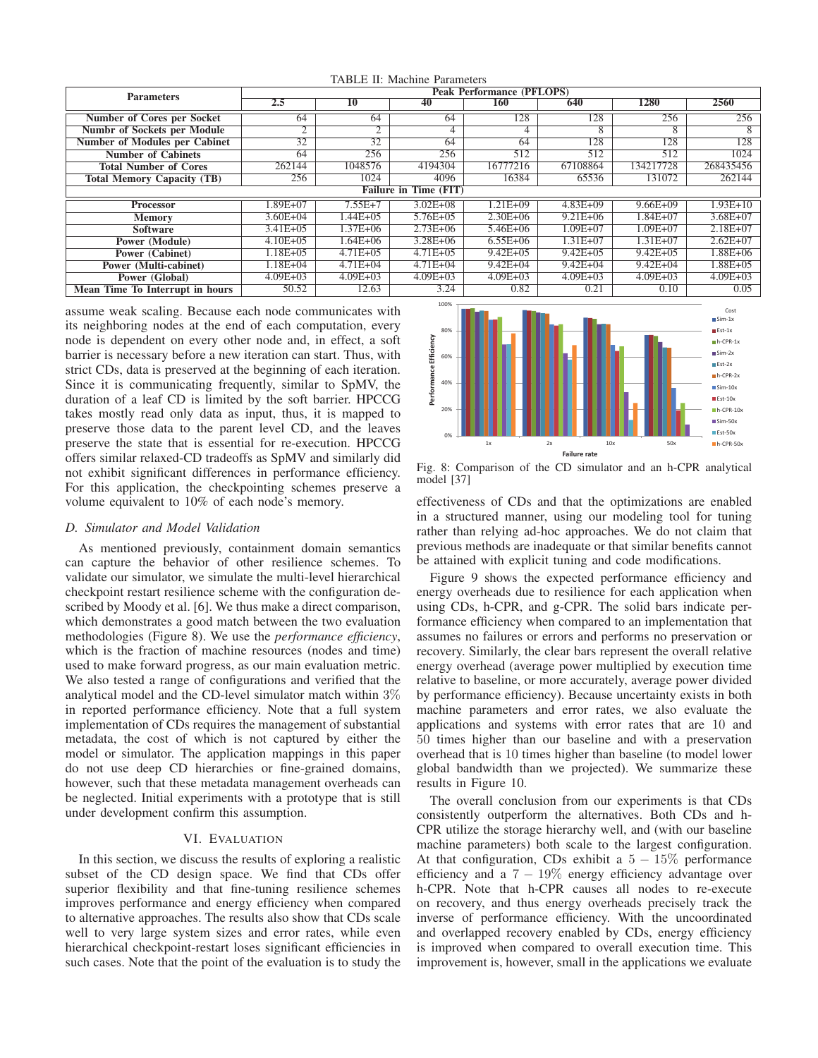| <b>Parameters</b>                      | <b>Peak Performance (PFLOPS)</b> |                 |               |              |              |              |               |  |  |  |
|----------------------------------------|----------------------------------|-----------------|---------------|--------------|--------------|--------------|---------------|--|--|--|
|                                        | 2.5                              | $\overline{10}$ | 40            | 160          | 640          | 1280         | 2560          |  |  |  |
| <b>Number of Cores per Socket</b>      | 64                               | 64              | 64            | 128          | 128          | 256          | 256           |  |  |  |
| <b>Numbr of Sockets per Module</b>     |                                  |                 |               |              | õ            | Δ.           |               |  |  |  |
| <b>Number of Modules per Cabinet</b>   | $\overline{32}$                  | 32              | 64            | 64           | 128          | 128          | 128           |  |  |  |
| <b>Number of Cabinets</b>              | 64                               | 256             | 256           | 512          | 512          | 512          | 1024          |  |  |  |
| <b>Total Number of Cores</b>           | 262144                           | 1048576         | 4194304       | 16777216     | 67108864     | 134217728    | 268435456     |  |  |  |
| <b>Total Memory Capacity (TB)</b>      | 256                              | 1024            | 4096          | 16384        | 65536        | 131072       | 262144        |  |  |  |
| <b>Failure in Time (FIT)</b>           |                                  |                 |               |              |              |              |               |  |  |  |
| Processor                              | 1.89E+07                         | $7.55E+7$       | $3.02E + 08$  | $1.21E + 09$ | $4.83E + 09$ | $9.66E + 09$ | $1.93E+10$    |  |  |  |
| <b>Memory</b>                          | $3.60E + 04$                     | $1.44E + 05$    | $5.76E + 05$  | $2.30E + 06$ | $9.21E + 06$ | $1.84E + 07$ | $3.68E + 07$  |  |  |  |
| <b>Software</b>                        | $3.41E + 05$                     | $1.37E + 06$    | $2.73E + 06$  | $5.46E + 06$ | 1.09E+07     | $1.09E + 07$ | $2.18E + 07$  |  |  |  |
| Power (Module)                         | $4.10E + 05$                     | $1.64E + 06$    | $3.28E + 06$  | $6.55E + 06$ | $1.31E + 07$ | $1.31E + 07$ | $2.62E + 07$  |  |  |  |
| Power (Cabinet)                        | $1.18E + 05$                     | $4.71E + 0.5$   | $4.71E + 0.5$ | $9.42E + 05$ | $9.42E + 05$ | $9.42E + 05$ | $1.88E + 06$  |  |  |  |
| Power (Multi-cabinet)                  | $1.18E + 04$                     | $4.71E + 04$    | $4.71E + 04$  | $9.42E + 04$ | $9.42E + 04$ | $9.42E + 04$ | $1.88E + 0.5$ |  |  |  |
| Power (Global)                         | $4.09E + 03$                     | $4.09E + 03$    | $4.09E + 03$  | $4.09E + 03$ | $4.09E + 03$ | $4.09E + 03$ | $4.09E + 03$  |  |  |  |
| <b>Mean Time To Interrupt in hours</b> | 50.52                            | 12.63           | 3.24          | 0.82         | 0.21         | 0.10         | 0.05          |  |  |  |

TABLE II: Machine Parameters

assume weak scaling. Because each node communicates with its neighboring nodes at the end of each computation, every node is dependent on every other node and, in effect, a soft barrier is necessary before a new iteration can start. Thus, with strict CDs, data is preserved at the beginning of each iteration. Since it is communicating frequently, similar to SpMV, the duration of a leaf CD is limited by the soft barrier. HPCCG takes mostly read only data as input, thus, it is mapped to preserve those data to the parent level CD, and the leaves preserve the state that is essential for re-execution. HPCCG offers similar relaxed-CD tradeoffs as SpMV and similarly did not exhibit significant differences in performance efficiency. For this application, the checkpointing schemes preserve a volume equivalent to 10% of each node's memory.

## *D. Simulator and Model Validation*

As mentioned previously, containment domain semantics can capture the behavior of other resilience schemes. To validate our simulator, we simulate the multi-level hierarchical checkpoint restart resilience scheme with the configuration described by Moody et al. [6]. We thus make a direct comparison, which demonstrates a good match between the two evaluation methodologies (Figure 8). We use the *performance efficiency*, which is the fraction of machine resources (nodes and time) used to make forward progress, as our main evaluation metric. We also tested a range of configurations and verified that the analytical model and the CD-level simulator match within 3% in reported performance efficiency. Note that a full system implementation of CDs requires the management of substantial metadata, the cost of which is not captured by either the model or simulator. The application mappings in this paper do not use deep CD hierarchies or fine-grained domains, however, such that these metadata management overheads can be neglected. Initial experiments with a prototype that is still under development confirm this assumption.

#### VI. EVALUATION

In this section, we discuss the results of exploring a realistic subset of the CD design space. We find that CDs offer superior flexibility and that fine-tuning resilience schemes improves performance and energy efficiency when compared to alternative approaches. The results also show that CDs scale well to very large system sizes and error rates, while even hierarchical checkpoint-restart loses significant efficiencies in such cases. Note that the point of the evaluation is to study the



Fig. 8: Comparison of the CD simulator and an h-CPR analytical model [37]

effectiveness of CDs and that the optimizations are enabled in a structured manner, using our modeling tool for tuning rather than relying ad-hoc approaches. We do not claim that previous methods are inadequate or that similar benefits cannot be attained with explicit tuning and code modifications.

Figure 9 shows the expected performance efficiency and energy overheads due to resilience for each application when using CDs, h-CPR, and g-CPR. The solid bars indicate performance efficiency when compared to an implementation that assumes no failures or errors and performs no preservation or recovery. Similarly, the clear bars represent the overall relative energy overhead (average power multiplied by execution time relative to baseline, or more accurately, average power divided by performance efficiency). Because uncertainty exists in both machine parameters and error rates, we also evaluate the applications and systems with error rates that are 10 and 50 times higher than our baseline and with a preservation overhead that is 10 times higher than baseline (to model lower global bandwidth than we projected). We summarize these results in Figure 10.

The overall conclusion from our experiments is that CDs consistently outperform the alternatives. Both CDs and h-CPR utilize the storage hierarchy well, and (with our baseline machine parameters) both scale to the largest configuration. At that configuration, CDs exhibit a  $5 - 15\%$  performance efficiency and a  $7 - 19\%$  energy efficiency advantage over h-CPR. Note that h-CPR causes all nodes to re-execute on recovery, and thus energy overheads precisely track the inverse of performance efficiency. With the uncoordinated and overlapped recovery enabled by CDs, energy efficiency is improved when compared to overall execution time. This improvement is, however, small in the applications we evaluate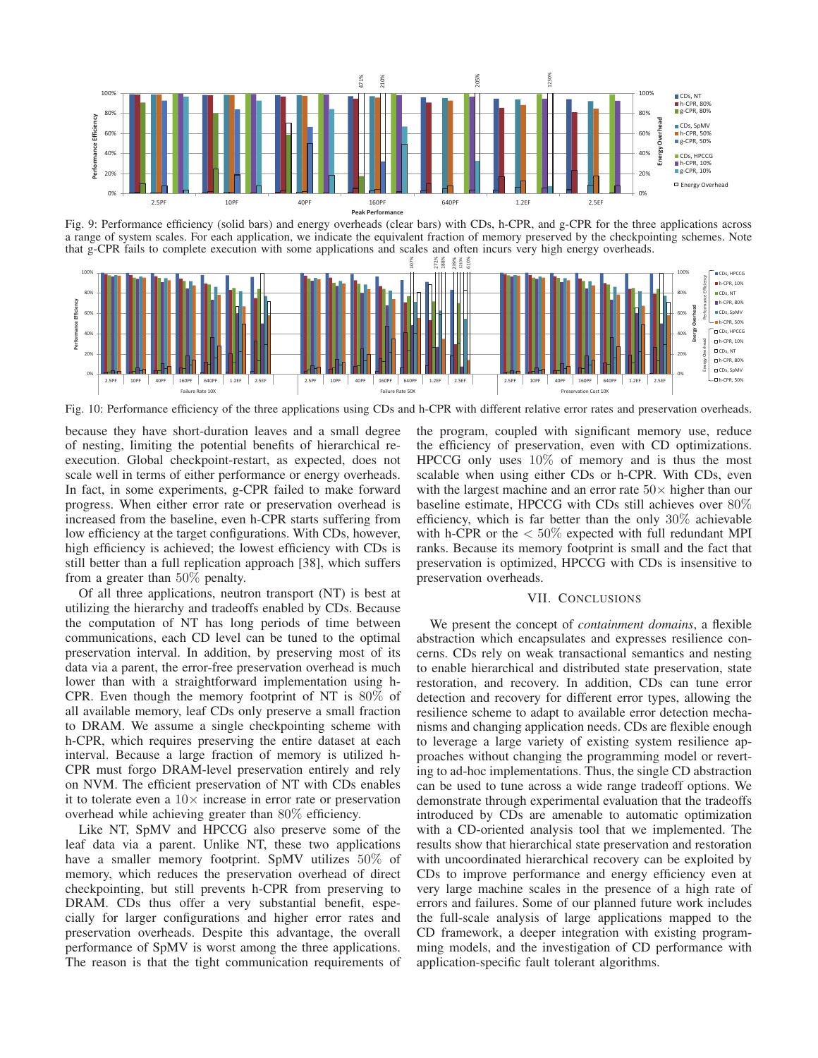

Fig. 9: Performance efficiency (solid bars) and energy overheads (clear bars) with CDs, h-CPR, and g-CPR for the three applications across a range of system scales. For each application, we indicate the equivalent fraction of memory preserved by the checkpointing schemes. Note that g-CPR fails to complete execution with some applications and scales and often incurs very high energy overheads.



Fig. 10: Performance efficiency of the three applications using CDs and h-CPR with different relative error rates and preservation overheads.

because they have short-duration leaves and a small degree of nesting, limiting the potential benefits of hierarchical reexecution. Global checkpoint-restart, as expected, does not scale well in terms of either performance or energy overheads. In fact, in some experiments, g-CPR failed to make forward progress. When either error rate or preservation overhead is increased from the baseline, even h-CPR starts suffering from low efficiency at the target configurations. With CDs, however, high efficiency is achieved; the lowest efficiency with CDs is still better than a full replication approach [38], which suffers from a greater than 50% penalty.

Of all three applications, neutron transport (NT) is best at utilizing the hierarchy and tradeoffs enabled by CDs. Because the computation of NT has long periods of time between communications, each CD level can be tuned to the optimal preservation interval. In addition, by preserving most of its data via a parent, the error-free preservation overhead is much lower than with a straightforward implementation using h-CPR. Even though the memory footprint of NT is 80% of all available memory, leaf CDs only preserve a small fraction to DRAM. We assume a single checkpointing scheme with h-CPR, which requires preserving the entire dataset at each interval. Because a large fraction of memory is utilized h-CPR must forgo DRAM-level preservation entirely and rely on NVM. The efficient preservation of NT with CDs enables it to tolerate even a  $10\times$  increase in error rate or preservation overhead while achieving greater than 80% efficiency.

Like NT, SpMV and HPCCG also preserve some of the leaf data via a parent. Unlike NT, these two applications have a smaller memory footprint. SpMV utilizes 50% of memory, which reduces the preservation overhead of direct checkpointing, but still prevents h-CPR from preserving to DRAM. CDs thus offer a very substantial benefit, especially for larger configurations and higher error rates and preservation overheads. Despite this advantage, the overall performance of SpMV is worst among the three applications. The reason is that the tight communication requirements of

the program, coupled with significant memory use, reduce the efficiency of preservation, even with CD optimizations. HPCCG only uses 10% of memory and is thus the most scalable when using either CDs or h-CPR. With CDs, even with the largest machine and an error rate  $50\times$  higher than our baseline estimate, HPCCG with CDs still achieves over 80% efficiency, which is far better than the only 30% achievable with h-CPR or the < 50% expected with full redundant MPI ranks. Because its memory footprint is small and the fact that preservation is optimized, HPCCG with CDs is insensitive to preservation overheads.

## VII. CONCLUSIONS

We present the concept of *containment domains*, a flexible abstraction which encapsulates and expresses resilience concerns. CDs rely on weak transactional semantics and nesting to enable hierarchical and distributed state preservation, state restoration, and recovery. In addition, CDs can tune error detection and recovery for different error types, allowing the resilience scheme to adapt to available error detection mechanisms and changing application needs. CDs are flexible enough to leverage a large variety of existing system resilience approaches without changing the programming model or reverting to ad-hoc implementations. Thus, the single CD abstraction can be used to tune across a wide range tradeoff options. We demonstrate through experimental evaluation that the tradeoffs introduced by CDs are amenable to automatic optimization with a CD-oriented analysis tool that we implemented. The results show that hierarchical state preservation and restoration with uncoordinated hierarchical recovery can be exploited by CDs to improve performance and energy efficiency even at very large machine scales in the presence of a high rate of errors and failures. Some of our planned future work includes the full-scale analysis of large applications mapped to the CD framework, a deeper integration with existing programming models, and the investigation of CD performance with application-specific fault tolerant algorithms.